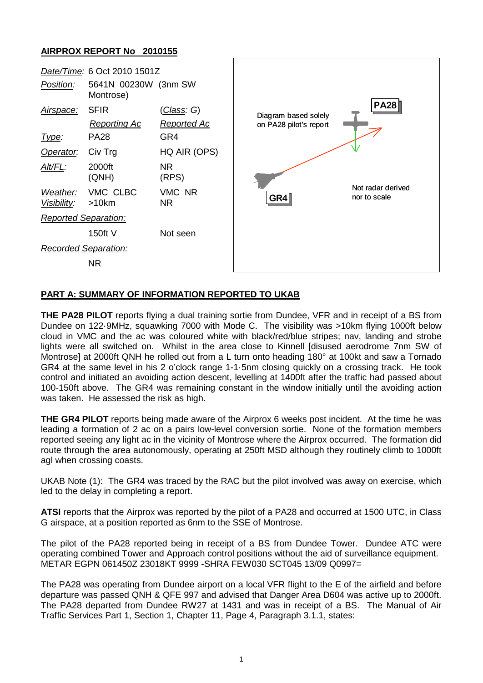## **AIRPROX REPORT No 2010155**



## **PART A: SUMMARY OF INFORMATION REPORTED TO UKAB**

**THE PA28 PILOT** reports flying a dual training sortie from Dundee, VFR and in receipt of a BS from Dundee on 122·9MHz, squawking 7000 with Mode C. The visibility was >10km flying 1000ft below cloud in VMC and the ac was coloured white with black/red/blue stripes; nav, landing and strobe lights were all switched on. Whilst in the area close to Kinnell [disused aerodrome 7nm SW of Montrose] at 2000ft QNH he rolled out from a L turn onto heading 180° at 100kt and saw a Tornado GR4 at the same level in his 2 o'clock range 1-1·5nm closing quickly on a crossing track. He took control and initiated an avoiding action descent, levelling at 1400ft after the traffic had passed about 100-150ft above. The GR4 was remaining constant in the window initially until the avoiding action was taken. He assessed the risk as high.

**THE GR4 PILOT** reports being made aware of the Airprox 6 weeks post incident. At the time he was leading a formation of 2 ac on a pairs low-level conversion sortie. None of the formation members reported seeing any light ac in the vicinity of Montrose where the Airprox occurred. The formation did route through the area autonomously, operating at 250ft MSD although they routinely climb to 1000ft agl when crossing coasts.

UKAB Note (1): The GR4 was traced by the RAC but the pilot involved was away on exercise, which led to the delay in completing a report.

**ATSI** reports that the Airprox was reported by the pilot of a PA28 and occurred at 1500 UTC, in Class G airspace, at a position reported as 6nm to the SSE of Montrose.

The pilot of the PA28 reported being in receipt of a BS from Dundee Tower. Dundee ATC were operating combined Tower and Approach control positions without the aid of surveillance equipment. METAR EGPN 061450Z 23018KT 9999 -SHRA FEW030 SCT045 13/09 Q0997=

The PA28 was operating from Dundee airport on a local VFR flight to the E of the airfield and before departure was passed QNH & QFE 997 and advised that Danger Area D604 was active up to 2000ft. The PA28 departed from Dundee RW27 at 1431 and was in receipt of a BS. The Manual of Air Traffic Services Part 1, Section 1, Chapter 11, Page 4, Paragraph 3.1.1, states: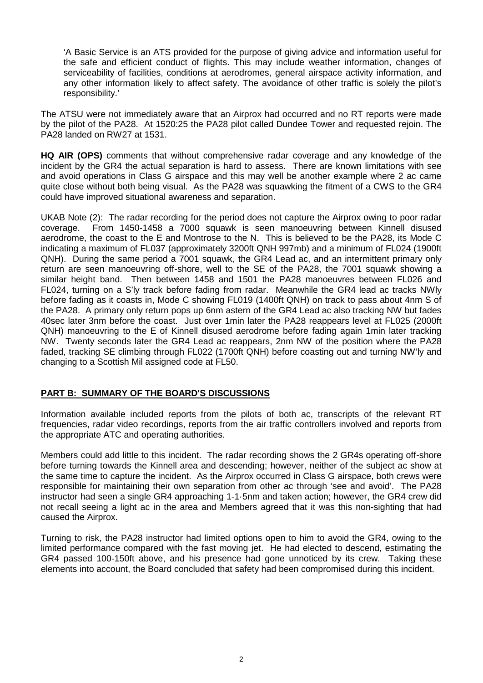'A Basic Service is an ATS provided for the purpose of giving advice and information useful for the safe and efficient conduct of flights. This may include weather information, changes of serviceability of facilities, conditions at aerodromes, general airspace activity information, and any other information likely to affect safety. The avoidance of other traffic is solely the pilot's responsibility.'

The ATSU were not immediately aware that an Airprox had occurred and no RT reports were made by the pilot of the PA28. At 1520:25 the PA28 pilot called Dundee Tower and requested rejoin. The PA28 landed on RW27 at 1531.

**HQ AIR (OPS)** comments that without comprehensive radar coverage and any knowledge of the incident by the GR4 the actual separation is hard to assess. There are known limitations with see and avoid operations in Class G airspace and this may well be another example where 2 ac came quite close without both being visual. As the PA28 was squawking the fitment of a CWS to the GR4 could have improved situational awareness and separation.

UKAB Note (2): The radar recording for the period does not capture the Airprox owing to poor radar coverage. From 1450-1458 a 7000 squawk is seen manoeuvring between Kinnell disused aerodrome, the coast to the E and Montrose to the N. This is believed to be the PA28, its Mode C indicating a maximum of FL037 (approximately 3200ft QNH 997mb) and a minimum of FL024 (1900ft QNH). During the same period a 7001 squawk, the GR4 Lead ac, and an intermittent primary only return are seen manoeuvring off-shore, well to the SE of the PA28, the 7001 squawk showing a similar height band. Then between 1458 and 1501 the PA28 manoeuvres between FL026 and FL024, turning on a S'ly track before fading from radar. Meanwhile the GR4 lead ac tracks NWly before fading as it coasts in, Mode C showing FL019 (1400ft QNH) on track to pass about 4nm S of the PA28. A primary only return pops up 6nm astern of the GR4 Lead ac also tracking NW but fades 40sec later 3nm before the coast. Just over 1min later the PA28 reappears level at FL025 (2000ft QNH) manoeuvring to the E of Kinnell disused aerodrome before fading again 1min later tracking NW. Twenty seconds later the GR4 Lead ac reappears, 2nm NW of the position where the PA28 faded, tracking SE climbing through FL022 (1700ft QNH) before coasting out and turning NW'ly and changing to a Scottish Mil assigned code at FL50.

## **PART B: SUMMARY OF THE BOARD'S DISCUSSIONS**

Information available included reports from the pilots of both ac, transcripts of the relevant RT frequencies, radar video recordings, reports from the air traffic controllers involved and reports from the appropriate ATC and operating authorities.

Members could add little to this incident. The radar recording shows the 2 GR4s operating off-shore before turning towards the Kinnell area and descending; however, neither of the subject ac show at the same time to capture the incident. As the Airprox occurred in Class G airspace, both crews were responsible for maintaining their own separation from other ac through 'see and avoid'. The PA28 instructor had seen a single GR4 approaching 1-1·5nm and taken action; however, the GR4 crew did not recall seeing a light ac in the area and Members agreed that it was this non-sighting that had caused the Airprox.

Turning to risk, the PA28 instructor had limited options open to him to avoid the GR4, owing to the limited performance compared with the fast moving jet. He had elected to descend, estimating the GR4 passed 100-150ft above, and his presence had gone unnoticed by its crew. Taking these elements into account, the Board concluded that safety had been compromised during this incident.